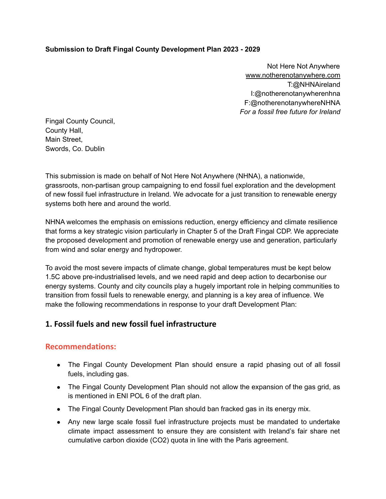#### **Submission to Draft Fingal County Development Plan 2023 - 2029**

Not Here Not Anywhere [www.notherenotanywhere.com](http://www.notherenotanywhere.com) T:@NHNAireland I:@notherenotanywherenhna F:@notherenotanywhereNHNA *For a fossil free future for Ireland*

Fingal County Council, County Hall, Main Street, Swords, Co. Dublin

This submission is made on behalf of Not Here Not Anywhere (NHNA), a nationwide, grassroots, non-partisan group campaigning to end fossil fuel exploration and the development of new fossil fuel infrastructure in Ireland. We advocate for a just transition to renewable energy systems both here and around the world.

NHNA welcomes the emphasis on emissions reduction, energy efficiency and climate resilience that forms a key strategic vision particularly in Chapter 5 of the Draft Fingal CDP. We appreciate the proposed development and promotion of renewable energy use and generation, particularly from wind and solar energy and hydropower.

To avoid the most severe impacts of climate change, global temperatures must be kept below 1.5C above pre-industrialised levels, and we need rapid and deep action to decarbonise our energy systems. County and city councils play a hugely important role in helping communities to transition from fossil fuels to renewable energy, and planning is a key area of influence. We make the following recommendations in response to your draft Development Plan:

# **1. Fossil fuels and new fossil fuel infrastructure**

#### **Recommendations:**

- The Fingal County Development Plan should ensure a rapid phasing out of all fossil fuels, including gas.
- The Fingal County Development Plan should not allow the expansion of the gas grid, as is mentioned in ENI POL 6 of the draft plan.
- The Fingal County Development Plan should ban fracked gas in its energy mix.
- Any new large scale fossil fuel infrastructure projects must be mandated to undertake climate impact assessment to ensure they are consistent with Ireland's fair share net cumulative carbon dioxide (CO2) quota in line with the Paris agreement.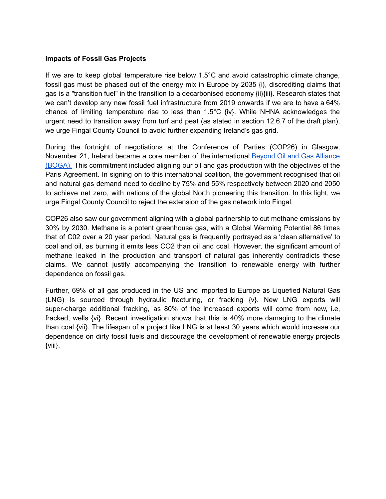#### **Impacts of Fossil Gas Projects**

If we are to keep global temperature rise below 1.5°C and avoid catastrophic climate change, fossil gas must be phased out of the energy mix in Europe by 2035  $\{i\}$ , discrediting claims that gas is a "transition fuel" in the transition to a decarbonised economy {ii}{iii}. Research states that we can't develop any new fossil fuel infrastructure from 2019 onwards if we are to have a 64% chance of limiting temperature rise to less than  $1.5^{\circ}$ C {iv}. While NHNA acknowledges the urgent need to transition away from turf and peat (as stated in section 12.6.7 of the draft plan), we urge Fingal County Council to avoid further expanding Ireland's gas grid.

During the fortnight of negotiations at the Conference of Parties (COP26) in Glasgow, November 21, Ireland became a core member of the international **Beyond Oil and Gas [Alliance](https://beyondoilandgasalliance.com/who-we-are/#:~:text=The%20Beyond%20Oil%20and%20Gas%20Alliance%20%28BOGA%29%20is,the%20managed%20phase-out%20of%20oil%20and%20gas%20production.)** [\(BOGA\).](https://beyondoilandgasalliance.com/who-we-are/#:~:text=The%20Beyond%20Oil%20and%20Gas%20Alliance%20%28BOGA%29%20is,the%20managed%20phase-out%20of%20oil%20and%20gas%20production.) This commitment included aligning our oil and gas production with the objectives of the Paris Agreement. In signing on to this international coalition, the government recognised that oil and natural gas demand need to decline by 75% and 55% respectively between 2020 and 2050 to achieve net zero, with nations of the global North pioneering this transition. In this light, we urge Fingal County Council to reject the extension of the gas network into Fingal.

COP26 also saw our government aligning with a global partnership to cut methane emissions by 30% by 2030. Methane is a potent greenhouse gas, with a Global Warming Potential 86 times that of C02 over a 20 year period. Natural gas is frequently portrayed as a 'clean alternative' to coal and oil, as burning it emits less CO2 than oil and coal. However, the significant amount of methane leaked in the production and transport of natural gas inherently contradicts these claims. We cannot justify accompanying the transition to renewable energy with further dependence on fossil gas.

Further, 69% of all gas produced in the US and imported to Europe as Liquefied Natural Gas (LNG) is sourced through hydraulic fracturing, or fracking {v}. New LNG exports will super-charge additional fracking, as 80% of the increased exports will come from new, i.e, fracked, wells {vi}. Recent investigation shows that this is 40% more damaging to the climate than coal {vii}. The lifespan of a project like LNG is at least 30 years which would increase our dependence on dirty fossil fuels and discourage the development of renewable energy projects {viii}.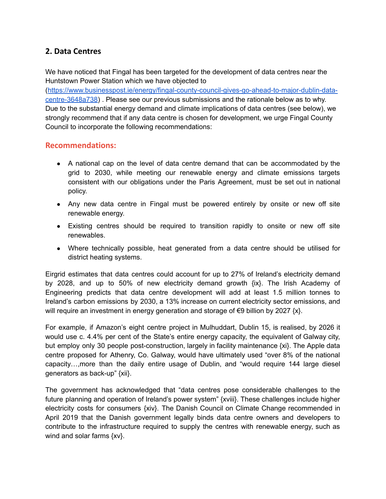# **2. Data Centres**

We have noticed that Fingal has been targeted for the development of data centres near the Huntstown Power Station which we have objected to

([https://www.businesspost.ie/energy/fingal-county-council-gives-go-ahead-to-major-dublin-data](https://www.businesspost.ie/energy/fingal-county-council-gives-go-ahead-to-major-dublin-data-centre-3648a738)[centre-3648a738](https://www.businesspost.ie/energy/fingal-county-council-gives-go-ahead-to-major-dublin-data-centre-3648a738)) . Please see our previous submissions and the rationale below as to why. Due to the substantial energy demand and climate implications of data centres (see below), we strongly recommend that if any data centre is chosen for development, we urge Fingal County Council to incorporate the following recommendations:

### **Recommendations:**

- A national cap on the level of data centre demand that can be accommodated by the grid to 2030, while meeting our renewable energy and climate emissions targets consistent with our obligations under the Paris Agreement, must be set out in national policy.
- Any new data centre in Fingal must be powered entirely by onsite or new off site renewable energy.
- Existing centres should be required to transition rapidly to onsite or new off site renewables.
- Where technically possible, heat generated from a data centre should be utilised for district heating systems.

Eirgrid estimates that data centres could account for up to 27% of Ireland's electricity demand by 2028, and up to 50% of new electricity demand growth {ix}. The Irish Academy of Engineering predicts that data centre development will add at least 1.5 million tonnes to Ireland's carbon emissions by 2030, a 13% increase on current electricity sector emissions, and will require an investment in energy generation and storage of  $\epsilon$ 9 billion by 2027 {x}.

For example, if Amazon's eight centre project in Mulhuddart, Dublin 15, is realised, by 2026 it would use c. 4.4% per cent of the State's entire energy capacity, the equivalent of Galway city, but employ only 30 people post-construction, largely in facility maintenance {xi}. The Apple data centre proposed for Athenry, Co. Galway, would have ultimately used "over 8% of the national capacity…,more than the daily entire usage of Dublin, and "would require 144 large diesel generators as back-up" {xii}.

The government has acknowledged that "data centres pose considerable challenges to the future planning and operation of Ireland's power system" {xviii}. These challenges include higher electricity costs for consumers {xiv}. The Danish Council on Climate Change recommended in April 2019 that the Danish government legally binds data centre owners and developers to contribute to the infrastructure required to supply the centres with renewable energy, such as wind and solar farms {xv}.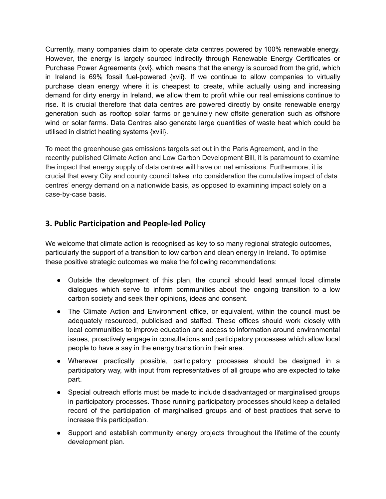Currently, many companies claim to operate data centres powered by 100% renewable energy. However, the energy is largely sourced indirectly through Renewable Energy Certificates or Purchase Power Agreements {xvi}, which means that the energy is sourced from the grid, which in Ireland is 69% fossil fuel-powered {xvii}. If we continue to allow companies to virtually purchase clean energy where it is cheapest to create, while actually using and increasing demand for dirty energy in Ireland, we allow them to profit while our real emissions continue to rise. It is crucial therefore that data centres are powered directly by onsite renewable energy generation such as rooftop solar farms or genuinely new offsite generation such as offshore wind or solar farms. Data Centres also generate large quantities of waste heat which could be utilised in district heating systems {xviii}.

To meet the greenhouse gas emissions targets set out in the Paris Agreement, and in the recently published Climate Action and Low Carbon Development Bill, it is paramount to examine the impact that energy supply of data centres will have on net emissions. Furthermore, it is crucial that every City and county council takes into consideration the cumulative impact of data centres' energy demand on a nationwide basis, as opposed to examining impact solely on a case-by-case basis.

# **3. Public Participation and People-led Policy**

We welcome that climate action is recognised as key to so many regional strategic outcomes, particularly the support of a transition to low carbon and clean energy in Ireland. To optimise these positive strategic outcomes we make the following recommendations:

- Outside the development of this plan, the council should lead annual local climate dialogues which serve to inform communities about the ongoing transition to a low carbon society and seek their opinions, ideas and consent.
- The Climate Action and Environment office, or equivalent, within the council must be adequately resourced, publicised and staffed. These offices should work closely with local communities to improve education and access to information around environmental issues, proactively engage in consultations and participatory processes which allow local people to have a say in the energy transition in their area.
- Wherever practically possible, participatory processes should be designed in a participatory way, with input from representatives of all groups who are expected to take part.
- Special outreach efforts must be made to include disadvantaged or marginalised groups in participatory processes. Those running participatory processes should keep a detailed record of the participation of marginalised groups and of best practices that serve to increase this participation.
- Support and establish community energy projects throughout the lifetime of the county development plan.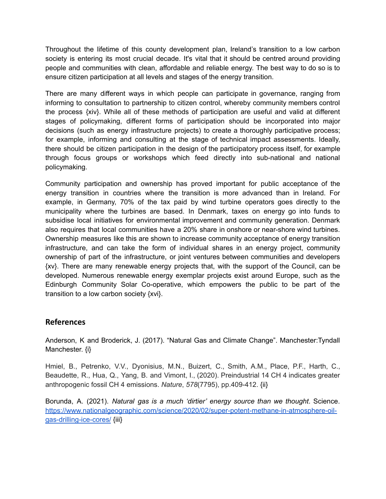Throughout the lifetime of this county development plan, Ireland's transition to a low carbon society is entering its most crucial decade. It's vital that it should be centred around providing people and communities with clean, affordable and reliable energy. The best way to do so is to ensure citizen participation at all levels and stages of the energy transition.

There are many different ways in which people can participate in governance, ranging from informing to consultation to partnership to citizen control, whereby community members control the process {xiv}. While all of these methods of participation are useful and valid at different stages of policymaking, different forms of participation should be incorporated into major decisions (such as energy infrastructure projects) to create a thoroughly participative process; for example, informing and consulting at the stage of technical impact assessments. Ideally, there should be citizen participation in the design of the participatory process itself, for example through focus groups or workshops which feed directly into sub-national and national policymaking.

Community participation and ownership has proved important for public acceptance of the energy transition in countries where the transition is more advanced than in Ireland. For example, in Germany, 70% of the tax paid by wind turbine operators goes directly to the municipality where the turbines are based. In Denmark, taxes on energy go into funds to subsidise local initiatives for environmental improvement and community generation. Denmark also requires that local communities have a 20% share in onshore or near-shore wind turbines. Ownership measures like this are shown to increase community acceptance of energy transition infrastructure, and can take the form of individual shares in an energy project, community ownership of part of the infrastructure, or joint ventures between communities and developers {xv}. There are many renewable energy projects that, with the support of the Council, can be developed. Numerous renewable energy exemplar projects exist around Europe, such as the Edinburgh Community Solar Co-operative, which empowers the public to be part of the transition to a low carbon society {xvi}.

### **References**

Anderson, K and Broderick, J. (2017). "Natural Gas and Climate Change". Manchester:Tyndall Manchester. {i}

Hmiel, B., Petrenko, V.V., Dyonisius, M.N., Buizert, C., Smith, A.M., Place, P.F., Harth, C., Beaudette, R., Hua, Q., Yang, B. and Vimont, I., (2020). Preindustrial 14 CH 4 indicates greater anthropogenic fossil CH 4 emissions. *Nature*, *578*(7795), pp.409-412. {ii}

Borunda, A. (2021). *Natural gas is a much 'dirtier' energy source than we thought*. Science. [https://www.nationalgeographic.com/science/2020/02/super-potent-methane-in-atmosphere-oil](https://www.nationalgeographic.com/science/2020/02/super-potent-methane-in-atmosphere-oil-gas-drilling-ice-cores/)[gas-drilling-ice-cores/](https://www.nationalgeographic.com/science/2020/02/super-potent-methane-in-atmosphere-oil-gas-drilling-ice-cores/) {iii}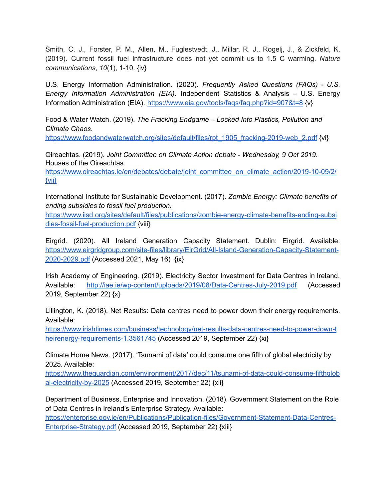Smith, C. J., Forster, P. M., Allen, M., Fuglestvedt, J., Millar, R. J., Rogelj, J., & Zickfeld, K. (2019). Current fossil fuel infrastructure does not yet commit us to 1.5 C warming. *Nature communications*, *10*(1), 1-10. {iv}

U.S. Energy Information Administration. (2020). *Frequently Asked Questions (FAQs) - U.S. Energy Information Administration (EIA)*. Independent Statistics & Analysis – U.S. Energy Information Administration (EIA). <https://www.eia.gov/tools/faqs/faq.php?id=907&t=8> {v}

Food & Water Watch. (2019). *The Fracking Endgame – Locked Into Plastics, Pollution and Climate Chaos*.

[https://www.foodandwaterwatch.org/sites/default/files/rpt\\_1905\\_fracking-2019-web\\_2.pdf](https://www.foodandwaterwatch.org/sites/default/files/rpt_1905_fracking-2019-web_2.pdf) {vi}

Oireachtas. (2019). *Joint Committee on Climate Action debate - Wednesday, 9 Oct 2019*. Houses of the Oireachtas.

[https://www.oireachtas.ie/en/debates/debate/joint\\_committee\\_on\\_climate\\_action/2019-10-09/2/](https://www.oireachtas.ie/en/debates/debate/joint_committee_on_climate_action/2019-10-09/2/) [{vii}](https://www.oireachtas.ie/en/debates/debate/joint_committee_on_climate_action/2019-10-09/2/)

International Institute for Sustainable Development. (2017). *Zombie Energy: Climate benefits of ending subsidies to fossil fuel production*.

[https://www.iisd.org/sites/default/files/publications/zombie-energy-climate-benefits-ending-subsi](https://www.iisd.org/sites/default/files/publications/zombie-energy-climate-benefits-ending-subsidies-fossil-fuel-production.pdf) [dies-fossil-fuel-production.pdf](https://www.iisd.org/sites/default/files/publications/zombie-energy-climate-benefits-ending-subsidies-fossil-fuel-production.pdf) {viii}

Eirgrid. (2020). All Ireland Generation Capacity Statement. Dublin: Eirgrid. Available: [https://www.eirgridgroup.com/site-files/library/EirGrid/All-Island-Generation-Capacity-Statement-](https://www.eirgridgroup.com/site-files/library/EirGrid/All-Island-Generation-Capacity-Statement-2020-2029.pdf)[2020-2029.pdf](https://www.eirgridgroup.com/site-files/library/EirGrid/All-Island-Generation-Capacity-Statement-2020-2029.pdf) (Accessed 2021, May 16) [{ix}](https://www.oireachtas.ie/en/debates/debate/joint_committee_on_climate_action/2019-10-09/2/)

Irish Academy of Engineering. (2019). Electricity Sector Investment for Data Centres in Ireland. Available: <http://iae.ie/wp-content/uploads/2019/08/Data-Centres-July-2019.pdf> (Accessed 2019, September 22) {x}

Lillington, K. (2018). Net Results: Data centres need to power down their energy requirements. Available:

[https://www.irishtimes.com/business/technology/net-results-data-centres-need-to-power-down-t](https://www.irishtimes.com/business/technology/net-results-data-centres-need-to-power-down-theirenergy-requirements-1.3561745) [heirenergy-requirements-1.3561745](https://www.irishtimes.com/business/technology/net-results-data-centres-need-to-power-down-theirenergy-requirements-1.3561745) (Accessed 2019, September 22) {xi}

Climate Home News. (2017). 'Tsunami of data' could consume one fifth of global electricity by 2025. Available:

[https://www.theguardian.com/environment/2017/dec/11/tsunami-of-data-could-consume-fifthglob](https://www.theguardian.com/environment/2017/dec/11/tsunami-of-data-could-consume-fifthglobal-electricity-by-2025) [al-electricity-by-2025](https://www.theguardian.com/environment/2017/dec/11/tsunami-of-data-could-consume-fifthglobal-electricity-by-2025) (Accessed 2019, September 22) {xii}

Department of Business, Enterprise and Innovation. (2018). Government Statement on the Role of Data Centres in Ireland's Enterprise Strategy. Available: [https://enterprise.gov.ie/en/Publications/Publication-files/Government-Statement-Data-Centres-](https://enterprise.gov.ie/en/Publications/Publication-files/Government-Statement-Data-Centres-Enterprise-Strategy.pdf)[Enterprise-Strategy.pdf](https://enterprise.gov.ie/en/Publications/Publication-files/Government-Statement-Data-Centres-Enterprise-Strategy.pdf) (Accessed 2019, September 22) {xiii}